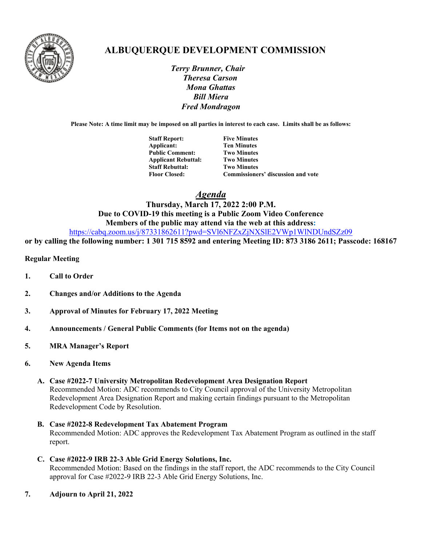

## **ALBUQUERQUE DEVELOPMENT COMMISSION**

 *Terry Brunner, Chair Theresa Carson Mona Ghattas Bill Miera Fred Mondragon*

**Please Note: A time limit may be imposed on all parties in interest to each case. Limits shall be as follows:**

| <b>Staff Report:</b>       | <b>Five Minutes</b>                |
|----------------------------|------------------------------------|
| Applicant:                 | <b>Ten Minutes</b>                 |
| <b>Public Comment:</b>     | <b>Two Minutes</b>                 |
| <b>Applicant Rebuttal:</b> | <b>Two Minutes</b>                 |
| <b>Staff Rebuttal:</b>     | <b>Two Minutes</b>                 |
| <b>Floor Closed:</b>       | Commissioners' discussion and vote |

*Agenda*

## **Thursday, March 17, 2022 2:00 P.M. Due to COVID-19 this meeting is a Public Zoom Video Conference Members of the public may attend via the web at this address:**

<https://cabq.zoom.us/j/87331862611?pwd=SVl6NFZxZjNXSlE2VWp1WlNDUndSZz09>

**or by calling the following number: 1 301 715 8592 and entering Meeting ID: 873 3186 2611; Passcode: 168167**

## **Regular Meeting**

- **1. Call to Order**
- **2. Changes and/or Additions to the Agenda**
- **3. Approval of Minutes for February 17, 2022 Meeting**
- **4. Announcements / General Public Comments (for Items not on the agenda)**
- **5. MRA Manager's Report**
- **6. New Agenda Items**

## **A. Case #2022-7 University Metropolitan Redevelopment Area Designation Report**

Recommended Motion: ADC recommends to City Council approval of the University Metropolitan Redevelopment Area Designation Report and making certain findings pursuant to the Metropolitan Redevelopment Code by Resolution.

- **B. Case #2022-8 Redevelopment Tax Abatement Program**  Recommended Motion: ADC approves the Redevelopment Tax Abatement Program as outlined in the staff report.
- **C. Case #2022-9 IRB 22-3 Able Grid Energy Solutions, Inc.**  Recommended Motion: Based on the findings in the staff report, the ADC recommends to the City Council approval for Case #2022-9 IRB 22-3 Able Grid Energy Solutions, Inc.
- **7. Adjourn to April 21, 2022**